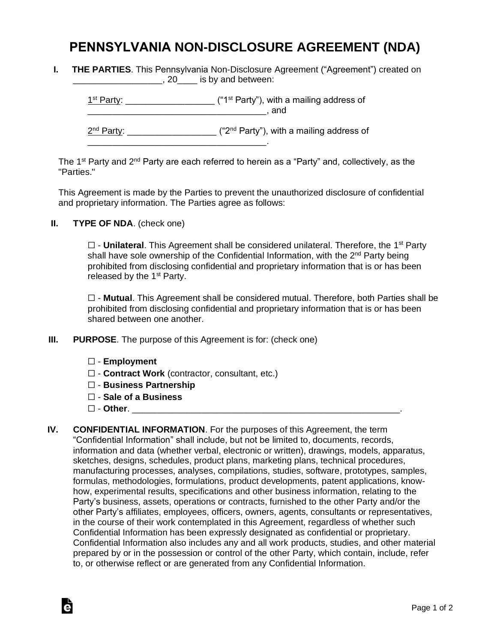## **PENNSYLVANIA NON-DISCLOSURE AGREEMENT (NDA)**

**I. THE PARTIES**. This Pennsylvania Non-Disclosure Agreement ("Agreement") created on **EXECUTE:** 20\_\_\_\_\_\_ is by and between:

 $1<sup>st</sup> Party: _______$  $\blacksquare$  and 2<sup>nd</sup> Party: \_\_\_\_\_\_\_\_\_\_\_\_\_\_\_\_\_\_\_\_ ("2<sup>nd</sup> Party"), with a mailing address of \_\_\_\_\_\_\_\_\_\_\_\_\_\_\_\_\_\_\_\_\_\_\_\_\_\_\_\_\_\_\_\_\_\_\_\_.

The 1<sup>st</sup> Party and 2<sup>nd</sup> Party are each referred to herein as a "Party" and, collectively, as the "Parties."

This Agreement is made by the Parties to prevent the unauthorized disclosure of confidential and proprietary information. The Parties agree as follows:

**II. TYPE OF NDA**. (check one)

□ - **Unilateral**. This Agreement shall be considered unilateral. Therefore, the 1<sup>st</sup> Party shall have sole ownership of the Confidential Information, with the 2<sup>nd</sup> Party being prohibited from disclosing confidential and proprietary information that is or has been released by the  $1<sup>st</sup>$  Party.

☐ - **Mutual**. This Agreement shall be considered mutual. Therefore, both Parties shall be prohibited from disclosing confidential and proprietary information that is or has been shared between one another.

- **III. PURPOSE**. The purpose of this Agreement is for: (check one)
	- ☐ **Employment**
	- ☐ **Contract Work** (contractor, consultant, etc.)
	- ☐ **Business Partnership**
	- ☐ **Sale of a Business**
	- ☐ **Other**. \_\_\_\_\_\_\_\_\_\_\_\_\_\_\_\_\_\_\_\_\_\_\_\_\_\_\_\_\_\_\_\_\_\_\_\_\_\_\_\_\_\_\_\_\_\_\_\_\_\_\_\_\_\_.

Ġ

**IV. CONFIDENTIAL INFORMATION**. For the purposes of this Agreement, the term "Confidential Information" shall include, but not be limited to, documents, records, information and data (whether verbal, electronic or written), drawings, models, apparatus, sketches, designs, schedules, product plans, marketing plans, technical procedures, manufacturing processes, analyses, compilations, studies, software, prototypes, samples, formulas, methodologies, formulations, product developments, patent applications, knowhow, experimental results, specifications and other business information, relating to the Party's business, assets, operations or contracts, furnished to the other Party and/or the other Party's affiliates, employees, officers, owners, agents, consultants or representatives, in the course of their work contemplated in this Agreement, regardless of whether such Confidential Information has been expressly designated as confidential or proprietary. Confidential Information also includes any and all work products, studies, and other material prepared by or in the possession or control of the other Party, which contain, include, refer to, or otherwise reflect or are generated from any Confidential Information.